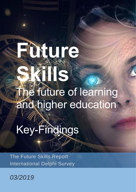# **Future**

**Skills**

The future of learning and higher education

**WARRANTO** 

Key-Findings

The Future Skills Report International Delphi Survey

*03/2019*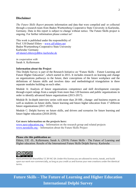### **Disclaimer**

*The Future Skills Report* presents information and data that were compiled and/ or collected through a research team from Baden-Wurttemberg Cooperative State University in Karlsruhe, Germany. Data in this report is subject to change without notice. The Future Skills project is ongoing. For further information please contact us!

This work is published under the responsibility of Prof. Ulf-Daniel Ehlers – [www.ulf-ehlers.net](http://www.ulf-ehlers.net/) Baden Wurttemberg-Cooperative State University Karlsruhe/ Germany [ulf-daniel.ehlers@dhbw-karlsruhe.de](mailto:ulf-daniel.ehlers@dhbw-karlsruhe.de)

*in cooperation with*  Sarah A. Kellermann

#### **Information about the Project**

This Delphi Survey is part of the Research Initiative on "Future Skills – Future Learning and Future Higher Education", which started in 2015. It includes research on learning and change on organizations pathways to the future, their conceptions of the future workplace and the definitions of futures skills and involves data- and methodological triangulation in three separate modules building on each other.

Module A: Analysis of future organizations competence and skill development concepts through expert ratings from a sample from more than 120 business and public organizations in order to identify advanced future organizations (2015-2017).

Module B: In-depth interview series with more than 20 HR-, change- and business experts as well as students on future skills, future learning and future higher education from 17 different future organizations (2017-2018).

Module C: Delphi Survey on future skills, and drivers and scenarios for future learning and future higher education (2018-2019).

#### **Get more information on the projects here:**

[www.next-education.org](http://www.next-education.org/) – Information on the research group and related projects [www.nextskills.org](http://www.nextskills.orgt/) – Information about the Future Skills Project

#### **Please cite this publication as:**

Ehlers, Ulf. -D., Kellermann, Sarah A. (2019): Future Skills - The Future of Learning and Higher education. Results of the International Future Skills Delphi Survey. Karlsruhe



NonCommercial-ShareAlike/ CC BY-NC-SA: Under this license you are allowed to remix, tweak, and build upon our work non-commercially, as long as you credit us and license your new creations under the identical terms.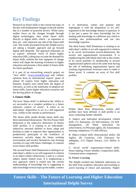## Key Findings

Research on future skills is the current hot topic of the day with fundamental changes in the job market due to a number of powerful drivers. While many studies focus on the changes brought through digital technologies, they relate future skills directly to digital skills, which - as important as they are - only represent one side of the future skill coin. The results presented from this Delphi survey are taking a broader approach and go beyond digital skill demands. The approach elaborates on an experts' informed vision of future higher education (HE), taking into account the demand for future skills, outlines the four signposts of change which will shape the learning revolution in higher education and presents a first model of future skills for future graduates.

It is part of an overarching research project on "next skills" [\(www.nextskills.org\)](http://www.nextskills.org/) and collates opinions from an international experts' panel of almost 50 experts from higher education and business. Experts were asked both, the degree of relevance, as well as the timeframe of adoption for future skills, future higher education scenarios and the driving pillars of change.

#### **I. Future Skills**

The term "future skills" is defined as the 'ability to act successful on a complex problem in a future unknown context of action'. It refers to an individuals' *disposition* to act in a self-organized way, visible to the outside as performance.

The future skills model divides future skills into three interrelated dimensions: The first Future Skill dimension is the *subjective dimension* of futures skills profiles. It is relating to an individuals' subjective, personal abilities to learn, adapt and develop in order to improve their opportunities to productively participate in the workforce of tomorrow, actively shape the future working environment and involve themselves into forming societies to cope with future challenges. It contains seven future skill profiles.

The second Future Skill Dimension is relating to an individual's ability to act self-organized in relation to an object (*object dimension*), a task or a certain subject matter related issue. It is emphasizing a new approach which is rooted into the current understanding of knowledge but is suggesting to take knowledge several steps up the ladder, connect

it to motivation, values and purpose and impregnate it with the disposition to act selforganized in the knowledge domain in question. It is not just a quest for more knowledge but for dealing with knowledge in a different way which is resulting into professionalism and not into knowledge expertise.

The third Future Skill Dimension is relating to an individual's ability to act self-organized in relation to its social environment (social-dimension), the society and organizational environment. It is emphasizing the individuals dual role as the curator of its social portfolio of membership in several organizational spheres and at the same time having the role of rethinking organizational spaces and creating organizational structures anew to make it future proof. It contains an array of five skill profiles.



Within these three dimensions, sixteen skill profiles have been defined. A skill profile is an array containing further subskills.

*A. Subject and individual development related skills*: (1) Autonomy, (2) Self-initiative, (3) Selfmanagement, (4) Need/ motivation for achievement, (5) Personal agility, (6) Autonomous learning competence, (7) Self-efficacy.

*B. Object-related skills (Instrumental skills):* (8) Agility, (9) Creativity, (10) Tolerance for ambiguity, (11) Digital literacy, (12) Ability to reflect

*C. Social world/ organization-related skills:* Sense-making, Future mindset, Cooperation skills, Communication competence

#### **II. Future Learning**

The Delphi resulted into hallmark indications on the shift from academic education and teaching to active learning of choice and autonomy. Higher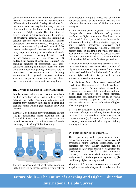education institutions in the future will provide a learning experience which is fundamentally different than the model of today. Timeframe for the time of adoption vary but for many aspects a close or mid-term timeframe has been estimated through the Delphi experts. The dimensions of future learning in higher education will comprise (1) **structural aspects**, i.e. academic learning as episodic process between biographical phases professional and private episodes throughout life, learning as institutional patchwork instead of the current widest-spread one-institution-model of today, supported through more elaborated credit transfer structures, micro-qualifications and microcredentials, as well as aspect of (2) **pedagogical design of academic learning**, i.e. changing practices of assessment, also peervalidation, learning communities, focus on future skills with knowledge playing an enabling role in interactive socio-constructive learning environments).In general experts estimate structure changes to become relevant much later than changes related to academic learning design.

#### **III. Drivers of Change in Higher Education**

Four key drivers in the higher education market can be described. Each driver has a radical change potential for higher education institutions and together they mutually influence each other and span the room in which higher education likely will develop.

There are 2 content and curriculum related drivers (i.e. (1) personalized higher education and (2) future skill focus) and 2 organization-structure related drivers (i.e. (1) multi-institutional study pathways, (2) Lifelong Higher Learning)





of configuration along the impact each of the four key drivers, called "pillars of change" has, and will influence the development of higher education strategies.

*1 - An emerging focus on future skills radically changes the current definition of graduate attributes in higher education:* The focus on a "next mode" of studying (focus on future skills: autonomous learning, self-organization, applying and reflecting knowledge, creativity and innovation, etc.) gradually replaces a reduced/ narrow focus on academic and valid knowledge acquisition as a means to provide correct answers for known questions based on a curriculum which is focused on defined skills for fixed professions.

*2 - Higher education increasingly becomes a multiinstitutional study experience*: The provision of higher education increasingly moves from a 'oneinstitution' model to a 'multi-institution' model in which higher education is provided through alliances of several institutions.

*3 - Students build their own personalized curriculum:* The elements of choice in academic programs enlarge. The curriculum of academic programs moves from a fully predefined and 'upfront' given structure to a more flexible, personalized and participatory model in which students actively cooperate with professors/ teachers/ advisors in curriculum building of higher education programs.

*4 - Higher education institutions turn towards providing offerings for lifelong higher learning services:* The current model of higher education, to prepare students (up front) for a future profession, is equally complimented with higher lifelong learning offerings.

#### **IV. Four Scenarios for Future HE**

The Delphi survey made a point to view future higher education from a students' perspective and envisioned future learning experiences. Four scenarios for future higher education can be described as gravitation centers of organizational development: (1) the future skill university scenario, (2) the networked mulit-institutional study scenario, (3) the my-university scenario, (4) the lifelong higher learning scenario.

Three out of four scenarios score with a time of adoption of more than 10 years from today with the